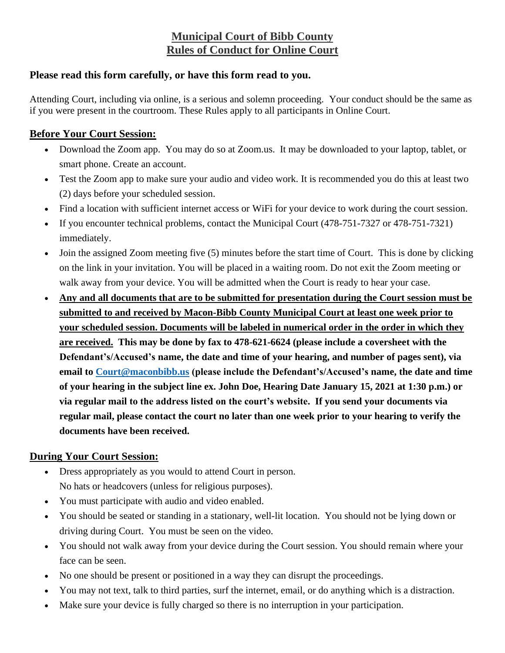## **Municipal Court of Bibb County Rules of Conduct for Online Court**

## **Please read this form carefully, or have this form read to you.**

Attending Court, including via online, is a serious and solemn proceeding. Your conduct should be the same as if you were present in the courtroom. These Rules apply to all participants in Online Court.

## **Before Your Court Session:**

- Download the Zoom app. You may do so at Zoom.us. It may be downloaded to your laptop, tablet, or smart phone. Create an account.
- Test the Zoom app to make sure your audio and video work. It is recommended you do this at least two (2) days before your scheduled session.
- Find a location with sufficient internet access or WiFi for your device to work during the court session.
- If you encounter technical problems, contact the Municipal Court (478-751-7327 or 478-751-7321) immediately.
- Join the assigned Zoom meeting five (5) minutes before the start time of Court. This is done by clicking on the link in your invitation. You will be placed in a waiting room. Do not exit the Zoom meeting or walk away from your device. You will be admitted when the Court is ready to hear your case.
- **Any and all documents that are to be submitted for presentation during the Court session must be submitted to and received by Macon-Bibb County Municipal Court at least one week prior to your scheduled session. Documents will be labeled in numerical order in the order in which they are received. This may be done by fax to 478-621-6624 (please include a coversheet with the Defendant's/Accused's name, the date and time of your hearing, and number of pages sent), via email to [Court@maconbibb.us](mailto:Court@maconbibb.us) (please include the Defendant's/Accused's name, the date and time of your hearing in the subject line ex. John Doe, Hearing Date January 15, 2021 at 1:30 p.m.) or via regular mail to the address listed on the court's website. If you send your documents via regular mail, please contact the court no later than one week prior to your hearing to verify the documents have been received.**

## **During Your Court Session:**

- Dress appropriately as you would to attend Court in person. No hats or headcovers (unless for religious purposes).
- You must participate with audio and video enabled.
- You should be seated or standing in a stationary, well-lit location. You should not be lying down or driving during Court. You must be seen on the video.
- You should not walk away from your device during the Court session. You should remain where your face can be seen.
- No one should be present or positioned in a way they can disrupt the proceedings.
- You may not text, talk to third parties, surf the internet, email, or do anything which is a distraction.
- Make sure your device is fully charged so there is no interruption in your participation.